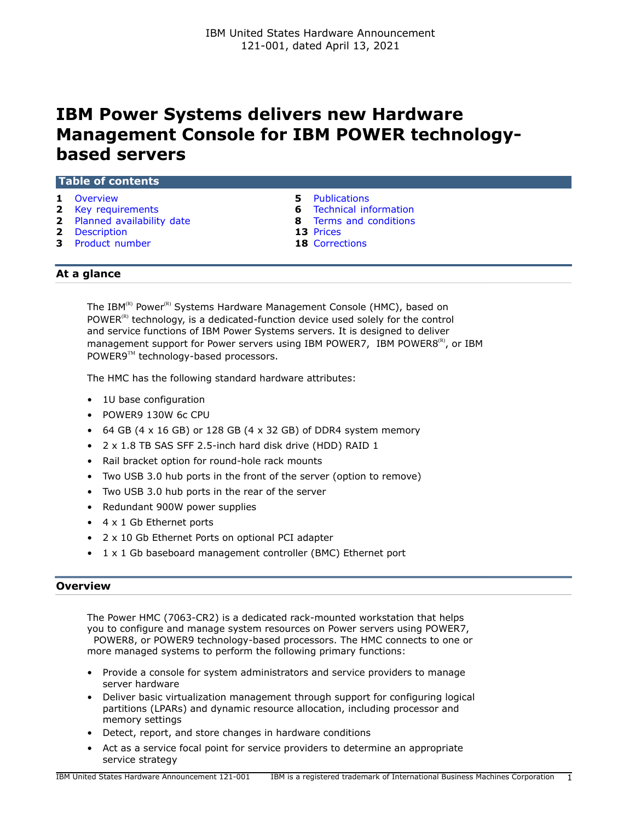# <span id="page-0-1"></span>**IBM Power Systems delivers new Hardware Management Console for IBM POWER technologybased servers**

| <b>Table of contents</b> |  |  |  |
|--------------------------|--|--|--|
|                          |  |  |  |
|                          |  |  |  |
|                          |  |  |  |

- 
- **2** [Key requirements](#page-1-0) **6** [Technical information](#page-5-0)
- **2** [Planned availability date](#page-1-1) **8** [Terms and conditions](#page-7-0)
- **2** [Description](#page-1-2) **13** [Prices](#page-12-0)
- **3** [Product number](#page-2-0) **18** [Corrections](#page-17-0)
- **1** [Overview](#page-0-0) **5** [Publications](#page-4-0)
	-
	-
	-
	-

# **At a glance**

The IBM<sup>(R)</sup> Power<sup>(R)</sup> Systems Hardware Management Console (HMC), based on POWER $<sup>(R)</sup>$  technology, is a dedicated-function device used solely for the control</sup> and service functions of IBM Power Systems servers. It is designed to deliver management support for Power servers using IBM POWER7, IBM POWER8 $^{(R)}$ , or IBM POWER9™ technology-based processors.

The HMC has the following standard hardware attributes:

- 1U base configuration
- POWER9 130W 6c CPU
- 64 GB (4  $\times$  16 GB) or 128 GB (4  $\times$  32 GB) of DDR4 system memory
- 2 x 1.8 TB SAS SFF 2.5-inch hard disk drive (HDD) RAID 1
- Rail bracket option for round-hole rack mounts
- Two USB 3.0 hub ports in the front of the server (option to remove)
- Two USB 3.0 hub ports in the rear of the server
- Redundant 900W power supplies
- 4 x 1 Gb Ethernet ports
- 2 x 10 Gb Ethernet Ports on optional PCI adapter
- 1 x 1 Gb baseboard management controller (BMC) Ethernet port

# <span id="page-0-0"></span>**Overview**

The Power HMC (7063-CR2) is a dedicated rack-mounted workstation that helps you to configure and manage system resources on Power servers using POWER7, POWER8, or POWER9 technology-based processors. The HMC connects to one or more managed systems to perform the following primary functions:

- Provide a console for system administrators and service providers to manage server hardware
- Deliver basic virtualization management through support for configuring logical partitions (LPARs) and dynamic resource allocation, including processor and memory settings
- Detect, report, and store changes in hardware conditions
- Act as a service focal point for service providers to determine an appropriate service strategy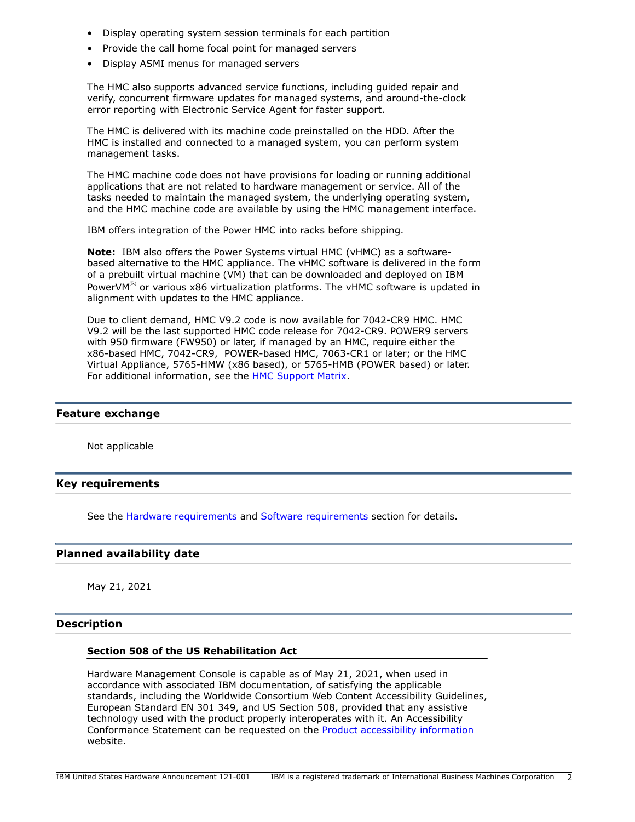- Display operating system session terminals for each partition
- Provide the call home focal point for managed servers
- Display ASMI menus for managed servers

The HMC also supports advanced service functions, including guided repair and verify, concurrent firmware updates for managed systems, and around-the-clock error reporting with Electronic Service Agent for faster support.

The HMC is delivered with its machine code preinstalled on the HDD. After the HMC is installed and connected to a managed system, you can perform system management tasks.

The HMC machine code does not have provisions for loading or running additional applications that are not related to hardware management or service. All of the tasks needed to maintain the managed system, the underlying operating system, and the HMC machine code are available by using the HMC management interface.

IBM offers integration of the Power HMC into racks before shipping.

**Note:** IBM also offers the Power Systems virtual HMC (vHMC) as a softwarebased alternative to the HMC appliance. The vHMC software is delivered in the form of a prebuilt virtual machine (VM) that can be downloaded and deployed on IBM PowerVM(R) or various  $x86$  virtualization platforms. The vHMC software is updated in alignment with updates to the HMC appliance.

Due to client demand, HMC V9.2 code is now available for 7042-CR9 HMC. HMC V9.2 will be the last supported HMC code release for 7042-CR9. POWER9 servers with 950 firmware (FW950) or later, if managed by an HMC, require either the x86-based HMC, 7042-CR9, POWER-based HMC, 7063-CR1 or later; or the HMC Virtual Appliance, 5765-HMW (x86 based), or 5765-HMB (POWER based) or later. For additional information, see the [HMC Support Matrix](https://www14.software.ibm.com/webapp/set2/flrt/sas?page=mtm-supported-hmc).

## **Feature exchange**

Not applicable

## <span id="page-1-0"></span>**Key requirements**

See the [Hardware requirements](#page-5-1) and [Software requirements](#page-6-0) section for details.

## <span id="page-1-1"></span>**Planned availability date**

May 21, 2021

## <span id="page-1-2"></span>**Description**

## **Section 508 of the US Rehabilitation Act**

Hardware Management Console is capable as of May 21, 2021, when used in accordance with associated IBM documentation, of satisfying the applicable standards, including the Worldwide Consortium Web Content Accessibility Guidelines, European Standard EN 301 349, and US Section 508, provided that any assistive technology used with the product properly interoperates with it. An Accessibility Conformance Statement can be requested on the [Product accessibility information](http://www.ibm.com/able/product_accessibility/index.html) website.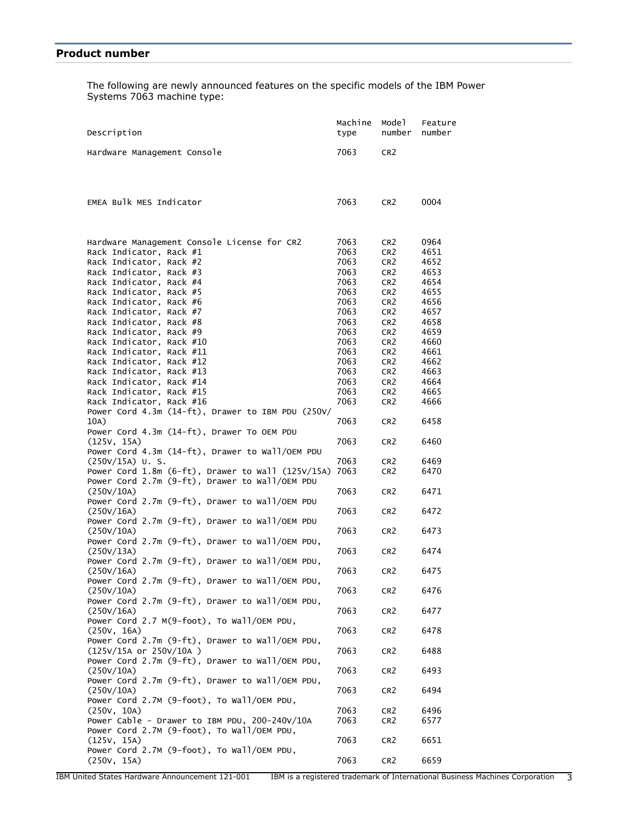<span id="page-2-0"></span>The following are newly announced features on the specific models of the IBM Power Systems 7063 machine type:

| Description                                                                                                                                                                                                   | Machine<br>type                                      | Mode 1<br>number                                                                                                                  | Feature<br>number                                    |
|---------------------------------------------------------------------------------------------------------------------------------------------------------------------------------------------------------------|------------------------------------------------------|-----------------------------------------------------------------------------------------------------------------------------------|------------------------------------------------------|
| Hardware Management Console                                                                                                                                                                                   | 7063                                                 | CR <sub>2</sub>                                                                                                                   |                                                      |
|                                                                                                                                                                                                               |                                                      |                                                                                                                                   |                                                      |
| EMEA Bulk MES Indicator                                                                                                                                                                                       | 7063                                                 | CR <sub>2</sub>                                                                                                                   | 0004                                                 |
| Hardware Management Console License for CR2<br>Rack Indicator, Rack #1<br>Rack Indicator, Rack #2<br>Rack Indicator, Rack #3<br>Rack Indicator, Rack #4<br>Rack Indicator, Rack #5<br>Rack Indicator, Rack #6 | 7063<br>7063<br>7063<br>7063<br>7063<br>7063<br>7063 | CR <sub>2</sub><br>CR <sub>2</sub><br>CR <sub>2</sub><br>CR <sub>2</sub><br>CR <sub>2</sub><br>CR <sub>2</sub><br>CR <sub>2</sub> | 0964<br>4651<br>4652<br>4653<br>4654<br>4655<br>4656 |
| Rack Indicator, Rack #7<br>Rack Indicator, Rack #8<br>Rack Indicator, Rack #9                                                                                                                                 | 7063<br>7063<br>7063                                 | CR <sub>2</sub><br>CR <sub>2</sub><br>CR <sub>2</sub>                                                                             | 4657<br>4658<br>4659                                 |
| Rack Indicator, Rack #10<br>Rack Indicator, Rack #11<br>Rack Indicator, Rack #12<br>Rack Indicator, Rack #13                                                                                                  | 7063<br>7063<br>7063<br>7063                         | CR <sub>2</sub><br>CR <sub>2</sub><br>CR <sub>2</sub><br>CR <sub>2</sub>                                                          | 4660<br>4661<br>4662<br>4663                         |
| Rack Indicator, Rack #14<br>Rack Indicator, Rack #15<br>Rack Indicator, Rack #16                                                                                                                              | 7063<br>7063<br>7063                                 | CR <sub>2</sub><br>CR <sub>2</sub><br>CR <sub>2</sub>                                                                             | 4664<br>4665<br>4666                                 |
| Power Cord 4.3m (14-ft), Drawer to IBM PDU (250V/<br>10A)                                                                                                                                                     | 7063                                                 | CR <sub>2</sub>                                                                                                                   | 6458                                                 |
| Power Cord 4.3m (14-ft), Drawer To OEM PDU<br>(125V, 15A)<br>Power Cord 4.3m (14-ft), Drawer to Wall/OEM PDU                                                                                                  | 7063                                                 | CR <sub>2</sub>                                                                                                                   | 6460                                                 |
| $(250V/15A)$ U.S.<br>Power Cord $1.8m$ (6-ft), Drawer to Wall (125V/15A)<br>Power Cord 2.7m (9-ft), Drawer to Wall/OEM PDU                                                                                    | 7063<br>7063                                         | CR <sub>2</sub><br>CR <sub>2</sub>                                                                                                | 6469<br>6470                                         |
| (250V/10A)<br>Power Cord 2.7m (9-ft), Drawer to Wall/OEM PDU<br>(250V/16A)                                                                                                                                    | 7063<br>7063                                         | CR <sub>2</sub><br>CR <sub>2</sub>                                                                                                | 6471<br>6472                                         |
| Power Cord 2.7m (9-ft), Drawer to Wall/OEM PDU<br>(250V/10A)<br>Power Cord 2.7m (9-ft), Drawer to Wall/OEM PDU,                                                                                               | 7063                                                 | CR <sub>2</sub>                                                                                                                   | 6473                                                 |
| (250V/13A)<br>Power Cord 2.7m (9-ft), Drawer to Wall/OEM PDU,                                                                                                                                                 | 7063                                                 | CR <sub>2</sub>                                                                                                                   | 6474                                                 |
| (250V/16A)<br>Power Cord 2.7m (9-ft), Drawer to Wall/OEM PDU,<br>(250V/10A)                                                                                                                                   | 7063<br>7063                                         | CR <sub>2</sub><br>CR <sub>2</sub>                                                                                                | 6475<br>6476                                         |
| Power Cord 2.7m (9-ft), Drawer to Wall/OEM PDU,<br>(250V/16A)                                                                                                                                                 | 7063                                                 | CR <sub>2</sub>                                                                                                                   | 6477                                                 |
| Power Cord 2.7 M(9-foot), To Wall/OEM PDU,<br>(250V, 16A)                                                                                                                                                     | 7063                                                 | CR <sub>2</sub>                                                                                                                   | 6478                                                 |
| Power Cord 2.7m (9-ft), Drawer to Wall/OEM PDU,<br>(125V/15A or 250V/10A)<br>Power Cord 2.7m (9-ft), Drawer to Wall/OEM PDU,                                                                                  | 7063                                                 | CR <sub>2</sub>                                                                                                                   | 6488                                                 |
| (250V/10A)<br>Power Cord 2.7m (9-ft), Drawer to Wall/OEM PDU,                                                                                                                                                 | 7063                                                 | CR <sub>2</sub>                                                                                                                   | 6493                                                 |
| (250V/10A)<br>Power Cord 2.7M (9-foot), To Wall/OEM PDU,                                                                                                                                                      | 7063<br>7063                                         | CR <sub>2</sub>                                                                                                                   | 6494                                                 |
| (250V, 10A)<br>Power Cable - Drawer to IBM PDU, 200-240V/10A<br>Power Cord 2.7M (9-foot), To Wall/OEM PDU,                                                                                                    | 7063                                                 | CR <sub>2</sub><br>CR <sub>2</sub>                                                                                                | 6496<br>6577                                         |
| (125V, 15A)<br>Power Cord 2.7M (9-foot), To Wall/OEM PDU,                                                                                                                                                     | 7063                                                 | CR <sub>2</sub>                                                                                                                   | 6651                                                 |
| (250V, 15A)                                                                                                                                                                                                   | 7063                                                 | CR <sub>2</sub>                                                                                                                   | 6659                                                 |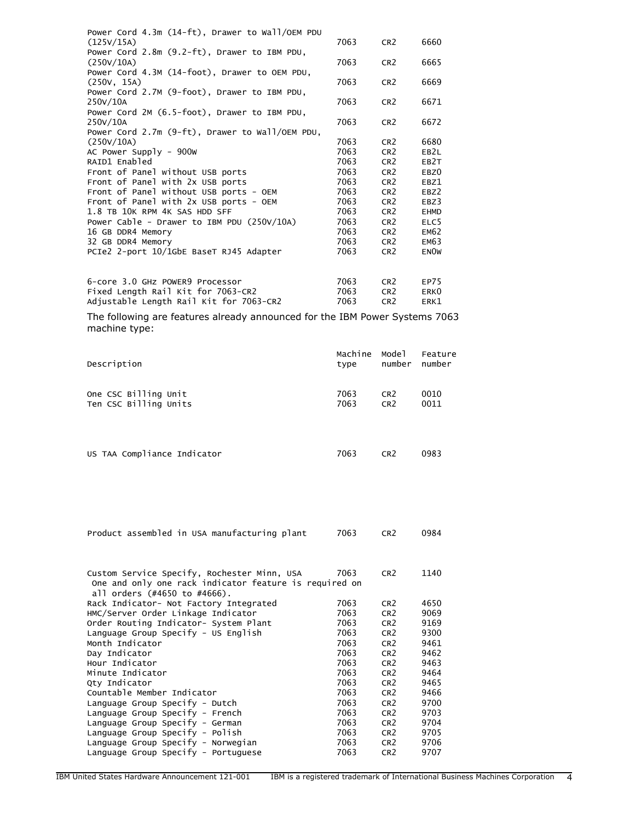| Power Cord $4.3m(14-ft)$ , Drawer to Wall/OEM PDU |      |                 |                   |
|---------------------------------------------------|------|-----------------|-------------------|
| (125V/15A)                                        | 7063 | CR <sub>2</sub> | 6660              |
| Power Cord 2.8m (9.2-ft), Drawer to IBM PDU,      |      |                 |                   |
| (250V/10A)                                        | 7063 | CR <sub>2</sub> | 6665              |
| Power Cord 4.3M (14-foot), Drawer to OEM PDU,     |      |                 |                   |
| (250v, 15A)                                       | 7063 | CR <sub>2</sub> | 6669              |
| Power Cord 2.7M (9-foot), Drawer to IBM PDU,      |      |                 |                   |
| 250V/10A                                          | 7063 | CR <sub>2</sub> | 6671              |
| Power Cord 2M (6.5-foot), Drawer to IBM PDU,      |      |                 |                   |
| 250V/10A                                          | 7063 | CR <sub>2</sub> | 6672              |
| Power Cord $2.7m$ (9-ft), Drawer to Wall/OEM PDU, |      |                 |                   |
| (250V/10A)                                        | 7063 | CR <sub>2</sub> | 6680              |
| AC Power Supply - $900w$                          | 7063 | CR <sub>2</sub> | EB <sub>2</sub> L |
| RAID1 Enabled                                     | 7063 | CR <sub>2</sub> | EB <sub>2</sub> T |
| Front of Panel without USB ports                  | 7063 | CR <sub>2</sub> | EBZ <sub>0</sub>  |
| Front of Panel with 2x USB ports                  | 7063 | CR <sub>2</sub> | EBZ1              |
| Front of Panel without USB ports - OEM            | 7063 | CR <sub>2</sub> | EBZ2              |
| Front of Panel with $2x$ USB ports - OEM          | 7063 | CR <sub>2</sub> | EBZ3              |
| 1.8 TB 10K RPM 4K SAS HDD SFF                     | 7063 | CR <sub>2</sub> | <b>EHMD</b>       |
| Power Cable - Drawer to IBM PDU $(250V/10A)$      | 7063 | CR <sub>2</sub> | ELC <sub>5</sub>  |
| 16 GB DDR4 Memory                                 | 7063 | CR <sub>2</sub> | <b>EM62</b>       |
| 32 GB DDR4 Memory                                 | 7063 | CR <sub>2</sub> | <b>EM63</b>       |
| PCIe2 2-port 10/1GbE BaseT RJ45 Adapter           | 7063 | CR <sub>2</sub> | <b>ENOW</b>       |
|                                                   |      |                 |                   |
| 6-core 3.0 GHz POWER9 Processor                   | 7063 | CR <sub>2</sub> | EP75              |
| Fixed Length Rail Kit for 7063-CR2                | 7063 | CR <sub>2</sub> | ERK <sub>0</sub>  |

The following are features already announced for the IBM Power Systems 7063 machine type:

Adjustable Length Rail Kit for 7063-CR2 7063 CR2 ERK1

| Description                 | Machine | Model           | Feature |
|-----------------------------|---------|-----------------|---------|
|                             | type    | number          | number  |
| One CSC Billing Unit        | 7063    | CR <sub>2</sub> | 0010    |
| Ten CSC Billing Units       | 7063    | CR <sub>2</sub> | 0011    |
| US TAA Compliance Indicator | 7063    | CR <sub>2</sub> | 0983    |

|  |  | Product assembled in USA manufacturing plant | 7063 | CR2 | 0984 |
|--|--|----------------------------------------------|------|-----|------|
|  |  |                                              |      |     |      |

| Rack Indicator- Not Factory Integrated<br>7063<br>4650<br>CR <sub>2</sub><br>HMC/Server Order Linkage Indicator<br>7063<br>9069<br>CR <sub>2</sub><br>Order Routing Indicator- System Plant<br>9169<br>7063<br>CR <sub>2</sub><br>Language Group Specify - US English<br>7063<br>9300<br>CR <sub>2</sub><br>Month Indicator<br>7063<br>9461<br>CR <sub>2</sub><br>Day Indicator<br>7063<br>9462<br>CR <sub>2</sub><br>Hour Indicator<br>7063<br>9463<br>CR <sub>2</sub><br>7063<br>9464<br>Minute Indicator<br>CR <sub>2</sub><br>7063<br>9465<br>Qty Indicator<br>CR <sub>2</sub><br>Countable Member Indicator<br>7063<br>9466<br>CR <sub>2</sub><br>7063<br>9700<br>Language Group Specify - Dutch<br>CR <sub>2</sub><br>9703<br>7063<br>Language Group Specify - French<br>CR <sub>2</sub><br>7063<br>9704<br>Language Group Specify - German<br>CR <sub>2</sub><br>Language Group Specify - Polish<br>7063<br>9705<br>CR <sub>2</sub><br>9706<br>Language Group Specify - Norwegian<br>7063<br>CR <sub>2</sub><br>Language Group Specify - Portuguese<br>7063<br>9707<br>CR <sub>2</sub> | Custom Service Specify, Rochester Minn, USA<br>One and only one rack indicator feature is required on<br>all orders (#4650 to #4666). | 7063 | CR <sub>2</sub> | 1140 |
|-----------------------------------------------------------------------------------------------------------------------------------------------------------------------------------------------------------------------------------------------------------------------------------------------------------------------------------------------------------------------------------------------------------------------------------------------------------------------------------------------------------------------------------------------------------------------------------------------------------------------------------------------------------------------------------------------------------------------------------------------------------------------------------------------------------------------------------------------------------------------------------------------------------------------------------------------------------------------------------------------------------------------------------------------------------------------------------------------|---------------------------------------------------------------------------------------------------------------------------------------|------|-----------------|------|
|                                                                                                                                                                                                                                                                                                                                                                                                                                                                                                                                                                                                                                                                                                                                                                                                                                                                                                                                                                                                                                                                                               |                                                                                                                                       |      |                 |      |
|                                                                                                                                                                                                                                                                                                                                                                                                                                                                                                                                                                                                                                                                                                                                                                                                                                                                                                                                                                                                                                                                                               |                                                                                                                                       |      |                 |      |
|                                                                                                                                                                                                                                                                                                                                                                                                                                                                                                                                                                                                                                                                                                                                                                                                                                                                                                                                                                                                                                                                                               |                                                                                                                                       |      |                 |      |
|                                                                                                                                                                                                                                                                                                                                                                                                                                                                                                                                                                                                                                                                                                                                                                                                                                                                                                                                                                                                                                                                                               |                                                                                                                                       |      |                 |      |
|                                                                                                                                                                                                                                                                                                                                                                                                                                                                                                                                                                                                                                                                                                                                                                                                                                                                                                                                                                                                                                                                                               |                                                                                                                                       |      |                 |      |
|                                                                                                                                                                                                                                                                                                                                                                                                                                                                                                                                                                                                                                                                                                                                                                                                                                                                                                                                                                                                                                                                                               |                                                                                                                                       |      |                 |      |
|                                                                                                                                                                                                                                                                                                                                                                                                                                                                                                                                                                                                                                                                                                                                                                                                                                                                                                                                                                                                                                                                                               |                                                                                                                                       |      |                 |      |
|                                                                                                                                                                                                                                                                                                                                                                                                                                                                                                                                                                                                                                                                                                                                                                                                                                                                                                                                                                                                                                                                                               |                                                                                                                                       |      |                 |      |
|                                                                                                                                                                                                                                                                                                                                                                                                                                                                                                                                                                                                                                                                                                                                                                                                                                                                                                                                                                                                                                                                                               |                                                                                                                                       |      |                 |      |
|                                                                                                                                                                                                                                                                                                                                                                                                                                                                                                                                                                                                                                                                                                                                                                                                                                                                                                                                                                                                                                                                                               |                                                                                                                                       |      |                 |      |
|                                                                                                                                                                                                                                                                                                                                                                                                                                                                                                                                                                                                                                                                                                                                                                                                                                                                                                                                                                                                                                                                                               |                                                                                                                                       |      |                 |      |
|                                                                                                                                                                                                                                                                                                                                                                                                                                                                                                                                                                                                                                                                                                                                                                                                                                                                                                                                                                                                                                                                                               |                                                                                                                                       |      |                 |      |
|                                                                                                                                                                                                                                                                                                                                                                                                                                                                                                                                                                                                                                                                                                                                                                                                                                                                                                                                                                                                                                                                                               |                                                                                                                                       |      |                 |      |
|                                                                                                                                                                                                                                                                                                                                                                                                                                                                                                                                                                                                                                                                                                                                                                                                                                                                                                                                                                                                                                                                                               |                                                                                                                                       |      |                 |      |
|                                                                                                                                                                                                                                                                                                                                                                                                                                                                                                                                                                                                                                                                                                                                                                                                                                                                                                                                                                                                                                                                                               |                                                                                                                                       |      |                 |      |
|                                                                                                                                                                                                                                                                                                                                                                                                                                                                                                                                                                                                                                                                                                                                                                                                                                                                                                                                                                                                                                                                                               |                                                                                                                                       |      |                 |      |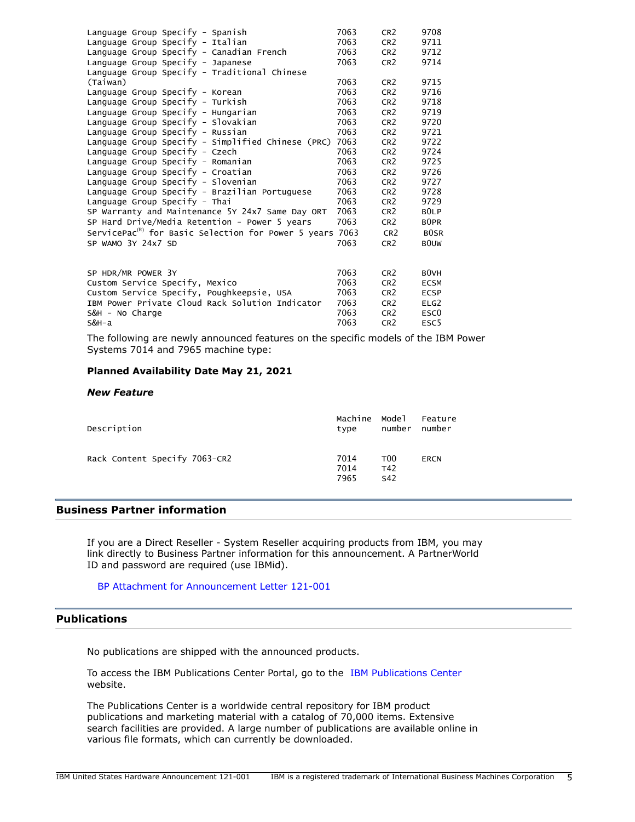| Language Group Specify - Spanish                                | 7063 | CR <sub>2</sub> | 9708              |
|-----------------------------------------------------------------|------|-----------------|-------------------|
| Language Group Specify - Italian                                | 7063 | CR <sub>2</sub> | 9711              |
| Language Group Specify - Canadian French                        | 7063 | CR <sub>2</sub> | 9712              |
| Language Group Specify - Japanese                               | 7063 | CR <sub>2</sub> | 9714              |
| Language Group Specify - Traditional Chinese                    |      |                 |                   |
| (Taiwan)                                                        | 7063 | CR <sub>2</sub> | 9715              |
| Language Group Specify - Korean                                 | 7063 | CR <sub>2</sub> | 9716              |
| Language Group Specify - Turkish                                | 7063 | CR <sub>2</sub> | 9718              |
| Language Group Specify - Hungarian                              | 7063 | CR <sub>2</sub> | 9719              |
| Language Group Specify - Slovakian                              | 7063 | CR <sub>2</sub> | 9720              |
| Language Group Specify - Russian                                | 7063 | CR <sub>2</sub> | 9721              |
| Language Group Specify - Simplified Chinese (PRC)               | 7063 | CR <sub>2</sub> | 9722              |
| Language Group Specify - Czech                                  | 7063 | CR <sub>2</sub> | 9724              |
| Language Group Specify - Romanian                               | 7063 | CR <sub>2</sub> | 9725              |
| Language Group Specify - Croatian                               | 7063 | CR <sub>2</sub> | 9726              |
| Language Group Specify - Slovenian                              | 7063 | CR <sub>2</sub> | 9727              |
| Language Group Specify - Brazilian Portuguese                   | 7063 | CR <sub>2</sub> | 9728              |
| Language Group Specify - Thai                                   | 7063 | CR <sub>2</sub> | 9729              |
| SP Warranty and Maintenance 5Y 24x7 Same Day ORT                | 7063 | CR <sub>2</sub> | BOLP              |
| SP Hard Drive/Media Retention - Power 5 years                   | 7063 | CR <sub>2</sub> | B <sub>OPR</sub>  |
| ServicePac <sup>(R)</sup> for Basic Selection for Power 5 years | 7063 | CR <sub>2</sub> | <b>BOSR</b>       |
| SP WAMO 3Y 24x7 SD                                              | 7063 | CR <sub>2</sub> | <b>BOUW</b>       |
|                                                                 |      |                 |                   |
|                                                                 |      |                 |                   |
| SP HDR/MR POWER 3Y                                              | 7063 | CR <sub>2</sub> | B <sub>0</sub> VH |
| Custom Service Specify, Mexico                                  | 7063 | CR <sub>2</sub> | <b>ECSM</b>       |
| Custom Service Specify, Poughkeepsie, USA                       | 7063 | CR <sub>2</sub> | <b>ECSP</b>       |
| IBM Power Private Cloud Rack Solution Indicator                 | 7063 | CR <sub>2</sub> | ELG2              |
| S&H - No Charge                                                 | 7063 | CR <sub>2</sub> | ESC <sub>0</sub>  |

The following are newly announced features on the specific models of the IBM Power Systems 7014 and 7965 machine type:

S&H-a 7063 CR2 ESC5

## **Planned Availability Date May 21, 2021**

#### *New Feature*

S&H - No Charge

| Description                   | Machine Model<br>type | number                        | Feature<br>number |
|-------------------------------|-----------------------|-------------------------------|-------------------|
| Rack Content Specify 7063-CR2 | 7014<br>7014<br>7965  | T <sub>00</sub><br>T42<br>S42 | <b>ERCN</b>       |

# **Business Partner information**

If you are a Direct Reseller - System Reseller acquiring products from IBM, you may link directly to Business Partner information for this announcement. A PartnerWorld ID and password are required (use IBMid).

[BP Attachment for Announcement Letter 121-001](https://www.ibm.com/partnerworld/mem/sla.jsp?num=121-001)

# <span id="page-4-0"></span>**Publications**

No publications are shipped with the announced products.

To access the IBM Publications Center Portal, go to the [IBM Publications Center](https://www.ibm.com/resources/publications) website.

The Publications Center is a worldwide central repository for IBM product publications and marketing material with a catalog of 70,000 items. Extensive search facilities are provided. A large number of publications are available online in various file formats, which can currently be downloaded.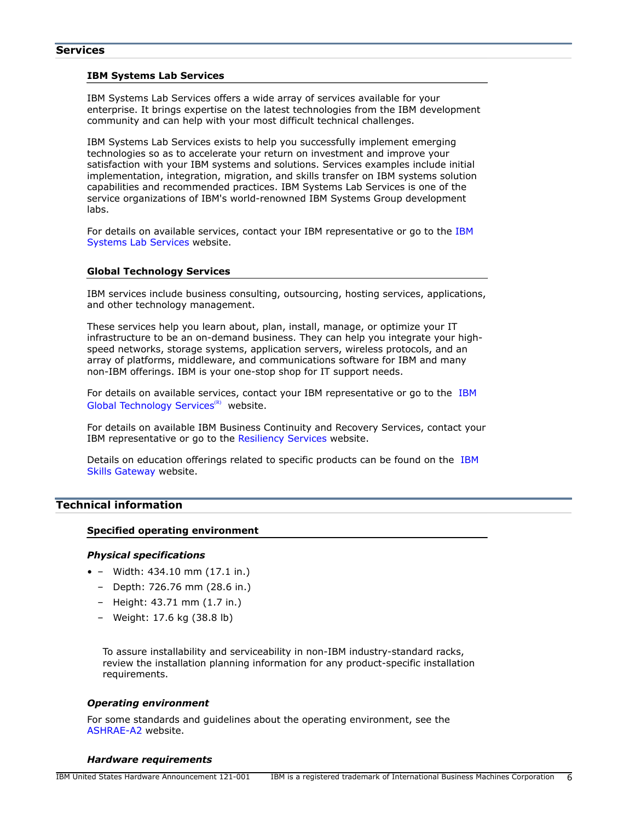#### **IBM Systems Lab Services**

IBM Systems Lab Services offers a wide array of services available for your enterprise. It brings expertise on the latest technologies from the IBM development community and can help with your most difficult technical challenges.

IBM Systems Lab Services exists to help you successfully implement emerging technologies so as to accelerate your return on investment and improve your satisfaction with your IBM systems and solutions. Services examples include initial implementation, integration, migration, and skills transfer on IBM systems solution capabilities and recommended practices. IBM Systems Lab Services is one of the service organizations of IBM's world-renowned IBM Systems Group development labs.

For details on available services, contact your IBM representative or go to the [IBM](https://www.ibm.com/it-infrastructure/services/lab-services) [Systems Lab Services](https://www.ibm.com/it-infrastructure/services/lab-services) website.

#### **Global Technology Services**

IBM services include business consulting, outsourcing, hosting services, applications, and other technology management.

These services help you learn about, plan, install, manage, or optimize your IT infrastructure to be an on-demand business. They can help you integrate your highspeed networks, storage systems, application servers, wireless protocols, and an array of platforms, middleware, and communications software for IBM and many non-IBM offerings. IBM is your one-stop shop for IT support needs.

For details on available services, contact your IBM representative or go to the [IBM](http://www.ibm.com/services/) [Global Technology Services](http://www.ibm.com/services/)<sup>(R)</sup> website.

For details on available IBM Business Continuity and Recovery Services, contact your IBM representative or go to the [Resiliency Services](http://www.ibm.com/services/continuity) website.

Details on education offerings related to specific products can be found on the [IBM](http://www.ibm.com/training) [Skills Gateway](http://www.ibm.com/training) website.

# <span id="page-5-0"></span>**Technical information**

#### **Specified operating environment**

#### *Physical specifications*

- – Width: 434.10 mm (17.1 in.)
	- Depth: 726.76 mm (28.6 in.)
	- Height: 43.71 mm (1.7 in.)
	- Weight: 17.6 kg (38.8 lb)

To assure installability and serviceability in non-IBM industry-standard racks, review the installation planning information for any product-specific installation requirements.

#### *Operating environment*

For some standards and guidelines about the operating environment, see the [ASHRAE-A2](https://www.ashrae.org/standards-research--technology/standards--guidelines) website.

#### <span id="page-5-1"></span>*Hardware requirements*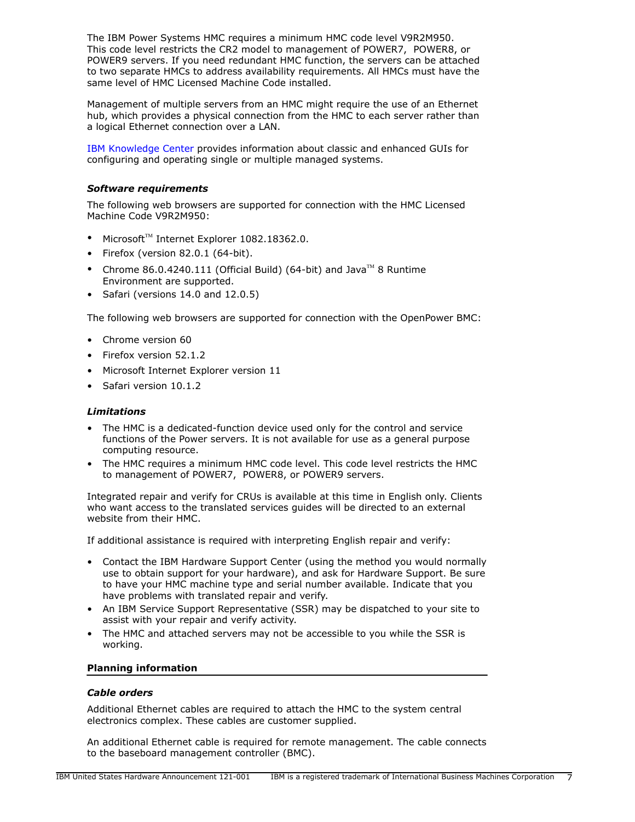The IBM Power Systems HMC requires a minimum HMC code level V9R2M950. This code level restricts the CR2 model to management of POWER7, POWER8, or POWER9 servers. If you need redundant HMC function, the servers can be attached to two separate HMCs to address availability requirements. All HMCs must have the same level of HMC Licensed Machine Code installed.

Management of multiple servers from an HMC might require the use of an Ethernet hub, which provides a physical connection from the HMC to each server rather than a logical Ethernet connection over a LAN.

[IBM Knowledge Center](https://www.ibm.com/support/knowledgecenter/POWER8/p8ha1/p8ha1_kickoff.htm) provides information about classic and enhanced GUIs for configuring and operating single or multiple managed systems.

## <span id="page-6-0"></span>*Software requirements*

The following web browsers are supported for connection with the HMC Licensed Machine Code V9R2M950:

- $Microsoft<sup>™</sup> Internet Explorer 1082.18362.0.$
- Firefox (version 82.0.1 (64-bit).
- Chrome 86.0.4240.111 (Official Build) (64-bit) and Java<sup>TM</sup> 8 Runtime Environment are supported.
- Safari (versions 14.0 and 12.0.5)

The following web browsers are supported for connection with the OpenPower BMC:

- Chrome version 60
- Firefox version 52.1.2
- Microsoft Internet Explorer version 11
- Safari version 10.1.2

## *Limitations*

- The HMC is a dedicated-function device used only for the control and service functions of the Power servers. It is not available for use as a general purpose computing resource.
- The HMC requires a minimum HMC code level. This code level restricts the HMC to management of POWER7, POWER8, or POWER9 servers.

Integrated repair and verify for CRUs is available at this time in English only. Clients who want access to the translated services guides will be directed to an external website from their HMC.

If additional assistance is required with interpreting English repair and verify:

- Contact the IBM Hardware Support Center (using the method you would normally use to obtain support for your hardware), and ask for Hardware Support. Be sure to have your HMC machine type and serial number available. Indicate that you have problems with translated repair and verify.
- An IBM Service Support Representative (SSR) may be dispatched to your site to assist with your repair and verify activity.
- The HMC and attached servers may not be accessible to you while the SSR is working.

## **Planning information**

## *Cable orders*

Additional Ethernet cables are required to attach the HMC to the system central electronics complex. These cables are customer supplied.

An additional Ethernet cable is required for remote management. The cable connects to the baseboard management controller (BMC).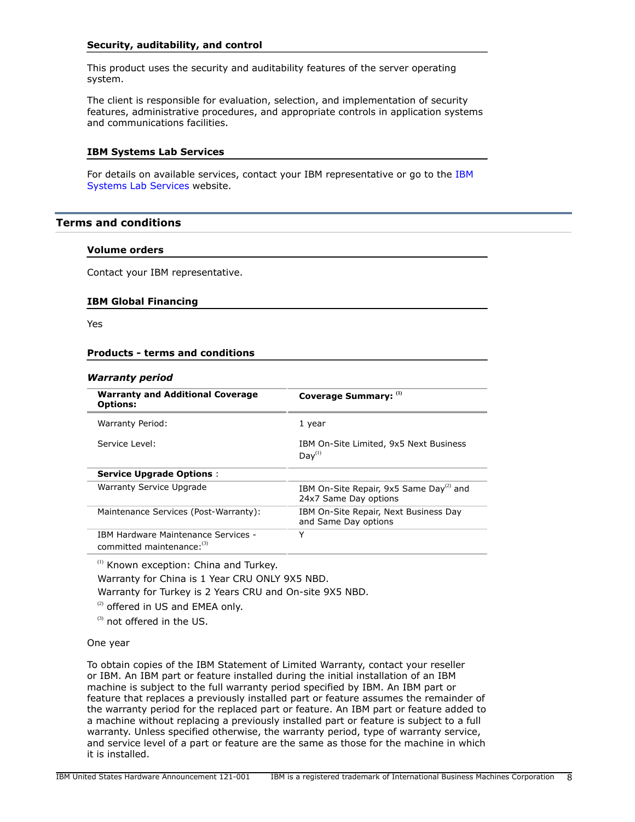## **Security, auditability, and control**

This product uses the security and auditability features of the server operating system.

The client is responsible for evaluation, selection, and implementation of security features, administrative procedures, and appropriate controls in application systems and communications facilities.

#### **IBM Systems Lab Services**

For details on available services, contact your IBM representative or go to the [IBM](https://www.ibm.com/it-infrastructure/services/lab-services) [Systems Lab Services](https://www.ibm.com/it-infrastructure/services/lab-services) website.

# <span id="page-7-0"></span>**Terms and conditions**

#### **Volume orders**

Contact your IBM representative.

#### **IBM Global Financing**

Yes

#### **Products - terms and conditions**

#### *Warranty period*

| <b>Warranty and Additional Coverage</b><br><b>Options:</b>        | Coverage Summary: (1)                                                        |
|-------------------------------------------------------------------|------------------------------------------------------------------------------|
| Warranty Period:                                                  | 1 year                                                                       |
| Service Level:                                                    | IBM On-Site Limited, 9x5 Next Business<br>Day <sup>(1)</sup>                 |
| <b>Service Upgrade Options:</b>                                   |                                                                              |
| Warranty Service Upgrade                                          | IBM On-Site Repair, 9x5 Same Day <sup>(2)</sup> and<br>24x7 Same Day options |
| Maintenance Services (Post-Warranty):                             | IBM On-Site Repair, Next Business Day<br>and Same Day options                |
| IBM Hardware Maintenance Services -<br>committed maintenance: (3) | Y                                                                            |

<sup>(1)</sup> Known exception: China and Turkey.

Warranty for China is 1 Year CRU ONLY 9X5 NBD.

Warranty for Turkey is 2 Years CRU and On-site 9X5 NBD.

 $(2)$  offered in US and EMEA only.

(3) not offered in the US.

#### One year

To obtain copies of the IBM Statement of Limited Warranty, contact your reseller or IBM. An IBM part or feature installed during the initial installation of an IBM machine is subject to the full warranty period specified by IBM. An IBM part or feature that replaces a previously installed part or feature assumes the remainder of the warranty period for the replaced part or feature. An IBM part or feature added to a machine without replacing a previously installed part or feature is subject to a full warranty. Unless specified otherwise, the warranty period, type of warranty service, and service level of a part or feature are the same as those for the machine in which it is installed.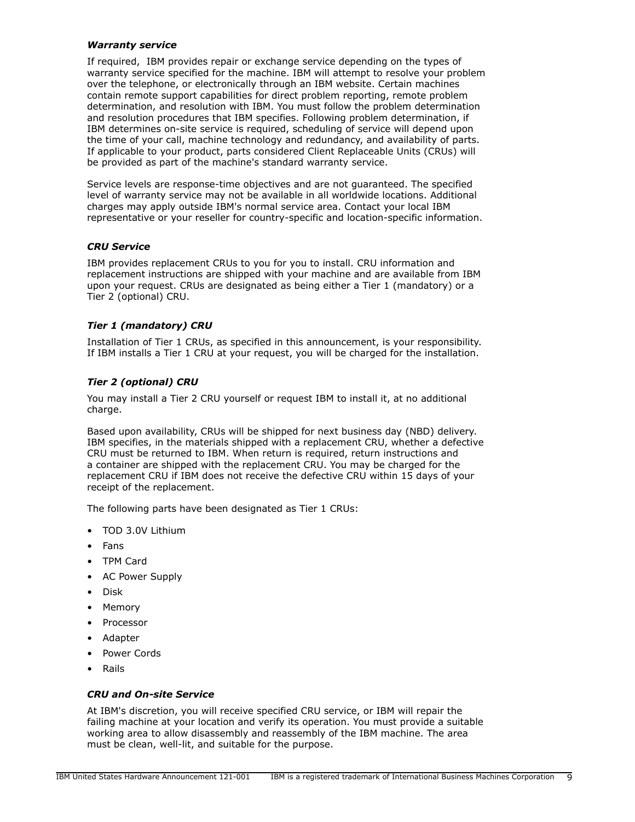## *Warranty service*

If required, IBM provides repair or exchange service depending on the types of warranty service specified for the machine. IBM will attempt to resolve your problem over the telephone, or electronically through an IBM website. Certain machines contain remote support capabilities for direct problem reporting, remote problem determination, and resolution with IBM. You must follow the problem determination and resolution procedures that IBM specifies. Following problem determination, if IBM determines on-site service is required, scheduling of service will depend upon the time of your call, machine technology and redundancy, and availability of parts. If applicable to your product, parts considered Client Replaceable Units (CRUs) will be provided as part of the machine's standard warranty service.

Service levels are response-time objectives and are not guaranteed. The specified level of warranty service may not be available in all worldwide locations. Additional charges may apply outside IBM's normal service area. Contact your local IBM representative or your reseller for country-specific and location-specific information.

## *CRU Service*

IBM provides replacement CRUs to you for you to install. CRU information and replacement instructions are shipped with your machine and are available from IBM upon your request. CRUs are designated as being either a Tier 1 (mandatory) or a Tier 2 (optional) CRU.

# *Tier 1 (mandatory) CRU*

Installation of Tier 1 CRUs, as specified in this announcement, is your responsibility. If IBM installs a Tier 1 CRU at your request, you will be charged for the installation.

# *Tier 2 (optional) CRU*

You may install a Tier 2 CRU yourself or request IBM to install it, at no additional charge.

Based upon availability, CRUs will be shipped for next business day (NBD) delivery. IBM specifies, in the materials shipped with a replacement CRU, whether a defective CRU must be returned to IBM. When return is required, return instructions and a container are shipped with the replacement CRU. You may be charged for the replacement CRU if IBM does not receive the defective CRU within 15 days of your receipt of the replacement.

The following parts have been designated as Tier 1 CRUs:

- TOD 3.0V Lithium
- Fans
- TPM Card
- AC Power Supply
- Disk
- Memory
- **Processor**
- Adapter
- Power Cords
- Rails

# *CRU and On-site Service*

At IBM's discretion, you will receive specified CRU service, or IBM will repair the failing machine at your location and verify its operation. You must provide a suitable working area to allow disassembly and reassembly of the IBM machine. The area must be clean, well-lit, and suitable for the purpose.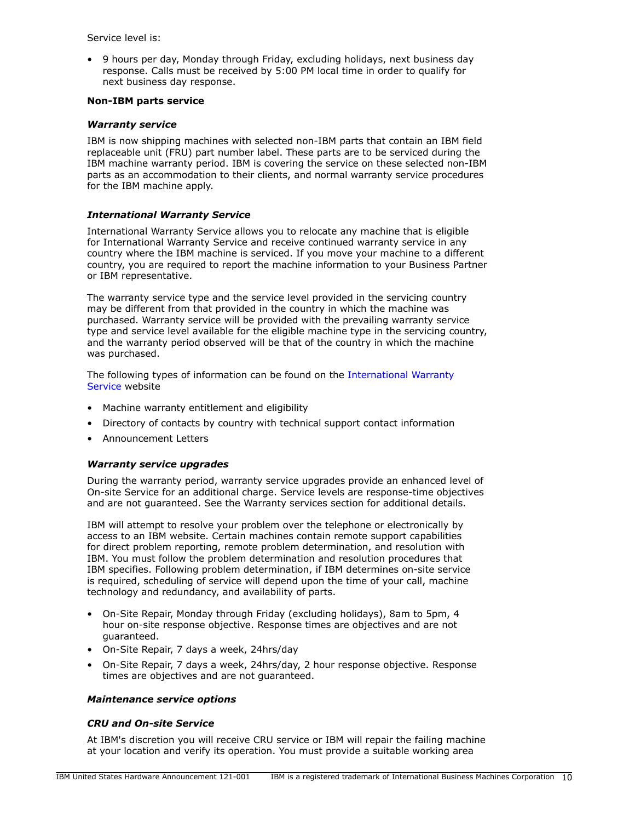Service level is:

• 9 hours per day, Monday through Friday, excluding holidays, next business day response. Calls must be received by 5:00 PM local time in order to qualify for next business day response.

## **Non-IBM parts service**

## *Warranty service*

IBM is now shipping machines with selected non-IBM parts that contain an IBM field replaceable unit (FRU) part number label. These parts are to be serviced during the IBM machine warranty period. IBM is covering the service on these selected non-IBM parts as an accommodation to their clients, and normal warranty service procedures for the IBM machine apply.

# *International Warranty Service*

International Warranty Service allows you to relocate any machine that is eligible for International Warranty Service and receive continued warranty service in any country where the IBM machine is serviced. If you move your machine to a different country, you are required to report the machine information to your Business Partner or IBM representative.

The warranty service type and the service level provided in the servicing country may be different from that provided in the country in which the machine was purchased. Warranty service will be provided with the prevailing warranty service type and service level available for the eligible machine type in the servicing country, and the warranty period observed will be that of the country in which the machine was purchased.

The following types of information can be found on the [International Warranty](https://www.ibm.com/systems/support/machine_warranties/iws.html) [Service](https://www.ibm.com/systems/support/machine_warranties/iws.html) website

- Machine warranty entitlement and eligibility
- Directory of contacts by country with technical support contact information
- Announcement Letters

## *Warranty service upgrades*

During the warranty period, warranty service upgrades provide an enhanced level of On-site Service for an additional charge. Service levels are response-time objectives and are not guaranteed. See the Warranty services section for additional details.

IBM will attempt to resolve your problem over the telephone or electronically by access to an IBM website. Certain machines contain remote support capabilities for direct problem reporting, remote problem determination, and resolution with IBM. You must follow the problem determination and resolution procedures that IBM specifies. Following problem determination, if IBM determines on-site service is required, scheduling of service will depend upon the time of your call, machine technology and redundancy, and availability of parts.

- On-Site Repair, Monday through Friday (excluding holidays), 8am to 5pm, 4 hour on-site response objective. Response times are objectives and are not guaranteed.
- On-Site Repair, 7 days a week, 24hrs/day
- On-Site Repair, 7 days a week, 24hrs/day, 2 hour response objective. Response times are objectives and are not guaranteed.

## *Maintenance service options*

## *CRU and On-site Service*

At IBM's discretion you will receive CRU service or IBM will repair the failing machine at your location and verify its operation. You must provide a suitable working area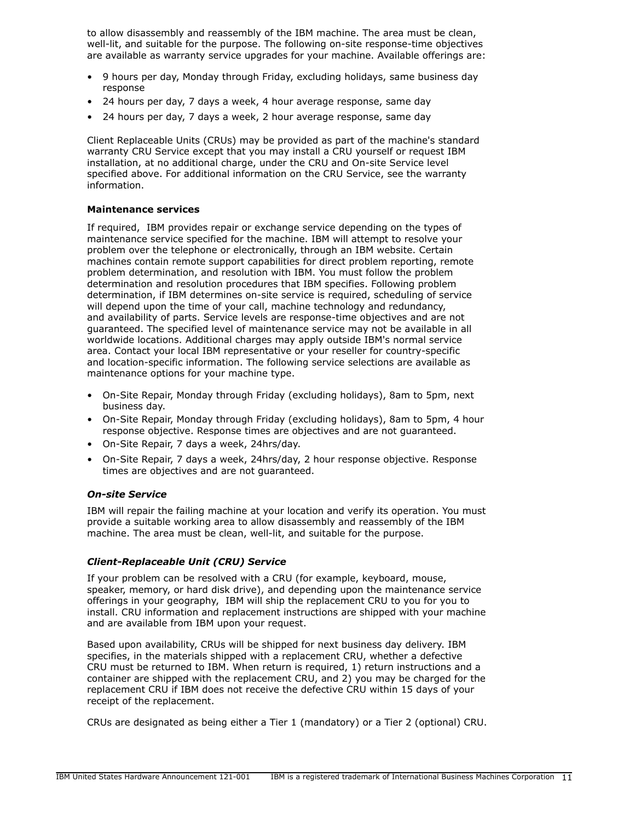to allow disassembly and reassembly of the IBM machine. The area must be clean, well-lit, and suitable for the purpose. The following on-site response-time objectives are available as warranty service upgrades for your machine. Available offerings are:

- 9 hours per day, Monday through Friday, excluding holidays, same business day response
- 24 hours per day, 7 days a week, 4 hour average response, same day
- 24 hours per day, 7 days a week, 2 hour average response, same day

Client Replaceable Units (CRUs) may be provided as part of the machine's standard warranty CRU Service except that you may install a CRU yourself or request IBM installation, at no additional charge, under the CRU and On-site Service level specified above. For additional information on the CRU Service, see the warranty information.

## **Maintenance services**

If required, IBM provides repair or exchange service depending on the types of maintenance service specified for the machine. IBM will attempt to resolve your problem over the telephone or electronically, through an IBM website. Certain machines contain remote support capabilities for direct problem reporting, remote problem determination, and resolution with IBM. You must follow the problem determination and resolution procedures that IBM specifies. Following problem determination, if IBM determines on-site service is required, scheduling of service will depend upon the time of your call, machine technology and redundancy, and availability of parts. Service levels are response-time objectives and are not guaranteed. The specified level of maintenance service may not be available in all worldwide locations. Additional charges may apply outside IBM's normal service area. Contact your local IBM representative or your reseller for country-specific and location-specific information. The following service selections are available as maintenance options for your machine type.

- On-Site Repair, Monday through Friday (excluding holidays), 8am to 5pm, next business day.
- On-Site Repair, Monday through Friday (excluding holidays), 8am to 5pm, 4 hour response objective. Response times are objectives and are not guaranteed.
- On-Site Repair, 7 days a week, 24hrs/day.
- On-Site Repair, 7 days a week, 24hrs/day, 2 hour response objective. Response times are objectives and are not guaranteed.

# *On-site Service*

IBM will repair the failing machine at your location and verify its operation. You must provide a suitable working area to allow disassembly and reassembly of the IBM machine. The area must be clean, well-lit, and suitable for the purpose.

# *Client-Replaceable Unit (CRU) Service*

If your problem can be resolved with a CRU (for example, keyboard, mouse, speaker, memory, or hard disk drive), and depending upon the maintenance service offerings in your geography, IBM will ship the replacement CRU to you for you to install. CRU information and replacement instructions are shipped with your machine and are available from IBM upon your request.

Based upon availability, CRUs will be shipped for next business day delivery. IBM specifies, in the materials shipped with a replacement CRU, whether a defective CRU must be returned to IBM. When return is required, 1) return instructions and a container are shipped with the replacement CRU, and 2) you may be charged for the replacement CRU if IBM does not receive the defective CRU within 15 days of your receipt of the replacement.

CRUs are designated as being either a Tier 1 (mandatory) or a Tier 2 (optional) CRU.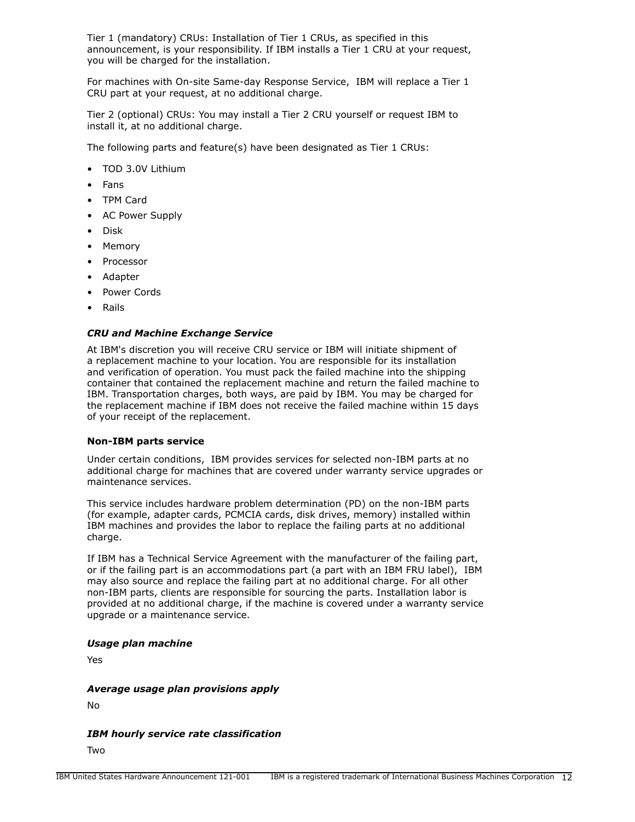Tier 1 (mandatory) CRUs: Installation of Tier 1 CRUs, as specified in this announcement, is your responsibility. If IBM installs a Tier 1 CRU at your request, you will be charged for the installation.

For machines with On-site Same-day Response Service, IBM will replace a Tier 1 CRU part at your request, at no additional charge.

Tier 2 (optional) CRUs: You may install a Tier 2 CRU yourself or request IBM to install it, at no additional charge.

The following parts and feature(s) have been designated as Tier 1 CRUs:

- TOD 3.0V Lithium
- Fans
- TPM Card
- AC Power Supply
- Disk
- Memory
- **Processor**
- Adapter
- Power Cords
- Rails

## *CRU and Machine Exchange Service*

At IBM's discretion you will receive CRU service or IBM will initiate shipment of a replacement machine to your location. You are responsible for its installation and verification of operation. You must pack the failed machine into the shipping container that contained the replacement machine and return the failed machine to IBM. Transportation charges, both ways, are paid by IBM. You may be charged for the replacement machine if IBM does not receive the failed machine within 15 days of your receipt of the replacement.

## **Non-IBM parts service**

Under certain conditions, IBM provides services for selected non-IBM parts at no additional charge for machines that are covered under warranty service upgrades or maintenance services.

This service includes hardware problem determination (PD) on the non-IBM parts (for example, adapter cards, PCMCIA cards, disk drives, memory) installed within IBM machines and provides the labor to replace the failing parts at no additional charge.

If IBM has a Technical Service Agreement with the manufacturer of the failing part, or if the failing part is an accommodations part (a part with an IBM FRU label), IBM may also source and replace the failing part at no additional charge. For all other non-IBM parts, clients are responsible for sourcing the parts. Installation labor is provided at no additional charge, if the machine is covered under a warranty service upgrade or a maintenance service.

## *Usage plan machine*

Yes

## *Average usage plan provisions apply*

No

*IBM hourly service rate classification*

Two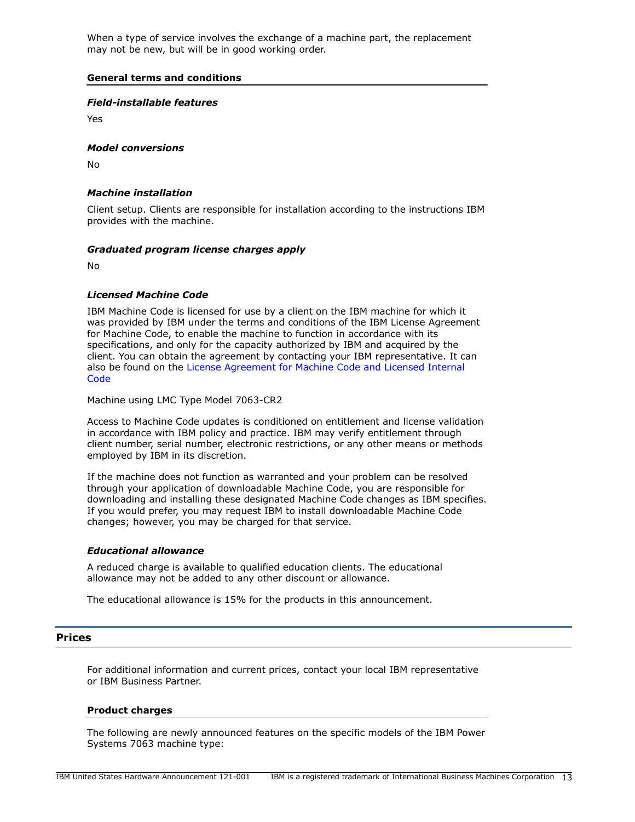When a type of service involves the exchange of a machine part, the replacement may not be new, but will be in good working order.

## **General terms and conditions**

## *Field-installable features*

Yes

## *Model conversions*

No

# *Machine installation*

Client setup. Clients are responsible for installation according to the instructions IBM provides with the machine.

## *Graduated program license charges apply*

No

## *Licensed Machine Code*

IBM Machine Code is licensed for use by a client on the IBM machine for which it was provided by IBM under the terms and conditions of the IBM License Agreement for Machine Code, to enable the machine to function in accordance with its specifications, and only for the capacity authorized by IBM and acquired by the client. You can obtain the agreement by contacting your IBM representative. It can also be found on the [License Agreement for Machine Code and Licensed Internal](http://www.ibm.com/systems/support/machine_warranties/machine_code.html) **[Code](http://www.ibm.com/systems/support/machine_warranties/machine_code.html)** 

Machine using LMC Type Model 7063-CR2

Access to Machine Code updates is conditioned on entitlement and license validation in accordance with IBM policy and practice. IBM may verify entitlement through client number, serial number, electronic restrictions, or any other means or methods employed by IBM in its discretion.

If the machine does not function as warranted and your problem can be resolved through your application of downloadable Machine Code, you are responsible for downloading and installing these designated Machine Code changes as IBM specifies. If you would prefer, you may request IBM to install downloadable Machine Code changes; however, you may be charged for that service.

## *Educational allowance*

A reduced charge is available to qualified education clients. The educational allowance may not be added to any other discount or allowance.

The educational allowance is 15% for the products in this announcement.

## <span id="page-12-0"></span>**Prices**

For additional information and current prices, contact your local IBM representative or IBM Business Partner.

## **Product charges**

The following are newly announced features on the specific models of the IBM Power Systems 7063 machine type: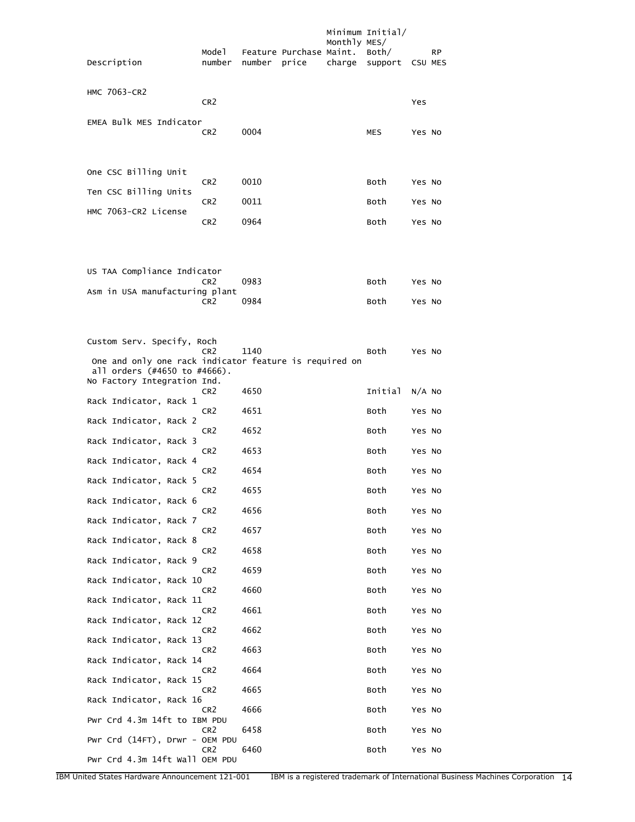| Description                                                                                                          | Mode 1<br>number | number price | Feature Purchase Maint. | Monthly MES/<br>charge | Minimum Initial/<br>Both/<br>support | CSU MES  | <b>RP</b> |
|----------------------------------------------------------------------------------------------------------------------|------------------|--------------|-------------------------|------------------------|--------------------------------------|----------|-----------|
| <b>HMC 7063-CR2</b>                                                                                                  | CR <sub>2</sub>  |              |                         |                        |                                      | Yes      |           |
| EMEA Bulk MES Indicator                                                                                              | CR <sub>2</sub>  | 0004         |                         |                        | MES                                  | Yes No   |           |
| One CSC Billing Unit                                                                                                 | CR <sub>2</sub>  | 0010         |                         |                        | Both                                 | Yes No   |           |
| Ten CSC Billing Units                                                                                                | CR <sub>2</sub>  | 0011         |                         |                        | Both                                 |          |           |
| HMC 7063-CR2 License                                                                                                 |                  |              |                         |                        |                                      | Yes No   |           |
|                                                                                                                      | CR <sub>2</sub>  | 0964         |                         |                        | Both                                 | Yes No   |           |
| US TAA Compliance Indicator                                                                                          | CR <sub>2</sub>  | 0983         |                         |                        | Both                                 | Yes No   |           |
| Asm in USA manufacturing plant                                                                                       |                  |              |                         |                        |                                      |          |           |
|                                                                                                                      | CR <sub>2</sub>  | 0984         |                         |                        | Both                                 | Yes No   |           |
| Custom Serv. Specify, Roch<br>One and only one rack indicator feature is required on<br>all orders (#4650 to #4666). | CR <sub>2</sub>  | 1140         |                         |                        | Both                                 | Yes No   |           |
| No Factory Integration Ind.<br>Rack Indicator, Rack 1                                                                | CR <sub>2</sub>  | 4650         |                         |                        | Initial                              | $N/A$ No |           |
|                                                                                                                      | CR <sub>2</sub>  | 4651         |                         |                        | Both                                 | Yes No   |           |
| Rack Indicator, Rack 2<br>Rack Indicator, Rack 3                                                                     | CR <sub>2</sub>  | 4652         |                         |                        | Both                                 | Yes No   |           |
| Rack Indicator, Rack 4                                                                                               | CR <sub>2</sub>  | 4653         |                         |                        | Both                                 | Yes No   |           |
| Rack Indicator, Rack 5                                                                                               | CR <sub>2</sub>  | 4654         |                         |                        | Both                                 | Yes No   |           |
|                                                                                                                      | CR <sub>2</sub>  | 4655         |                         |                        | Both                                 | Yes No   |           |
| Rack Indicator, Rack 6                                                                                               | CR <sub>2</sub>  | 4656         |                         |                        | Both                                 | Yes No   |           |
| Rack Indicator, Rack 7                                                                                               | CR <sub>2</sub>  | 4657         |                         |                        | Both                                 | Yes No   |           |
| Rack Indicator, Rack 8                                                                                               | CR <sub>2</sub>  | 4658         |                         |                        | Both                                 | Yes No   |           |
| Rack Indicator, Rack 9                                                                                               | CR <sub>2</sub>  | 4659         |                         |                        | Both                                 | Yes No   |           |
| Rack Indicator, Rack 10                                                                                              | CR <sub>2</sub>  | 4660         |                         |                        | Both                                 | Yes No   |           |
| Rack Indicator, Rack 11                                                                                              | CR <sub>2</sub>  | 4661         |                         |                        | Both                                 | Yes No   |           |
| Rack Indicator, Rack 12                                                                                              | CR <sub>2</sub>  | 4662         |                         |                        | Both                                 | Yes No   |           |
| Rack Indicator, Rack 13                                                                                              | CR <sub>2</sub>  | 4663         |                         |                        | Both                                 | Yes No   |           |
| Rack Indicator, Rack 14                                                                                              | CR <sub>2</sub>  | 4664         |                         |                        | Both                                 | Yes No   |           |
| Rack Indicator, Rack 15                                                                                              | CR <sub>2</sub>  | 4665         |                         |                        | Both                                 | Yes No   |           |
| Rack Indicator, Rack 16                                                                                              | CR <sub>2</sub>  | 4666         |                         |                        | Both                                 | Yes No   |           |
| Pwr Crd 4.3m 14ft to IBM PDU                                                                                         | CR <sub>2</sub>  | 6458         |                         |                        | Both                                 | Yes No   |           |
| Pwr Crd (14FT), Drwr - OEM PDU<br>Pwr Crd 4.3m 14ft Wall OEM PDU                                                     | CR <sub>2</sub>  | 6460         |                         |                        | Both                                 | Yes No   |           |
|                                                                                                                      |                  |              |                         |                        |                                      |          |           |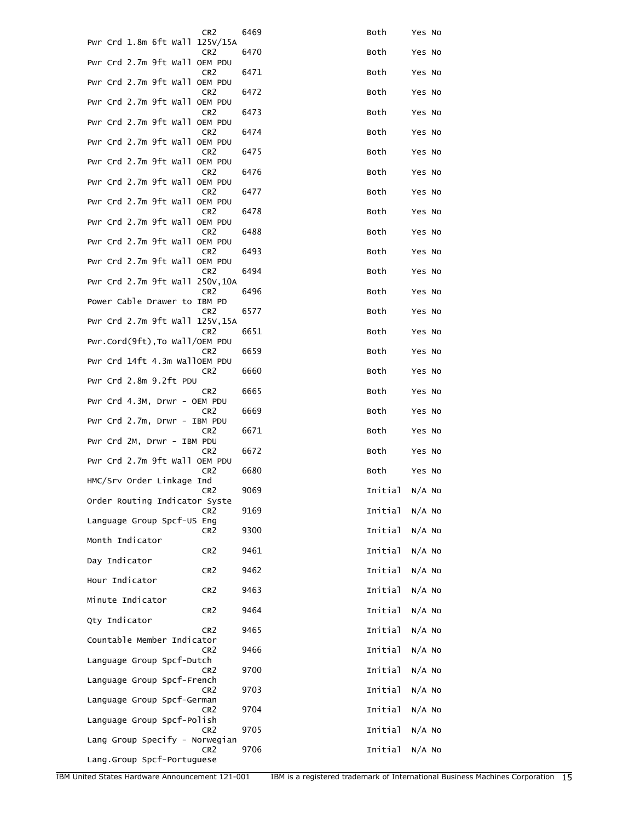| CR <sub>2</sub>                                                            | 6469 | Both           | Yes No   |
|----------------------------------------------------------------------------|------|----------------|----------|
| Pwr Crd 1.8m 6ft Wall 125V/15A<br>CR <sub>2</sub>                          | 6470 | Both           | Yes No   |
| Pwr Crd 2.7m 9ft Wall OEM PDU<br>CR <sub>2</sub>                           | 6471 | Both           | Yes No   |
| Pwr Crd 2.7m 9ft Wall OEM PDU<br>CR <sub>2</sub>                           | 6472 | Both           | Yes No   |
| Pwr Crd 2.7m 9ft Wall OEM PDU<br>CR <sub>2</sub>                           | 6473 | Both           | Yes No   |
| Pwr Crd 2.7m 9ft Wall OEM PDU                                              |      |                |          |
| CR <sub>2</sub><br>Pwr Crd 2.7m 9ft Wall OEM PDU                           | 6474 | Both           | Yes No   |
| CR <sub>2</sub><br>Pwr Crd 2.7m 9ft Wall OEM PDU                           | 6475 | Both           | Yes No   |
| CR <sub>2</sub><br>Pwr Crd 2.7m 9ft Wall OEM PDU                           | 6476 | Both           | Yes No   |
| CR <sub>2</sub><br>Pwr Crd 2.7m 9ft Wall OEM PDU                           | 6477 | Both           | Yes No   |
| CR <sub>2</sub><br>Pwr Crd 2.7m 9ft Wall OEM PDU                           | 6478 | Both           | Yes No   |
| CR <sub>2</sub><br>Pwr Crd 2.7m 9ft Wall OEM PDU                           | 6488 | Both           | Yes No   |
| CR <sub>2</sub><br>Pwr Crd 2.7m 9ft Wall OEM PDU                           | 6493 | Both           | Yes No   |
| CR <sub>2</sub><br>Pwr Crd 2.7m 9ft Wall 250V, 10A                         | 6494 | Both           | Yes No   |
| CR <sub>2</sub>                                                            | 6496 | Both           | Yes No   |
| Power Cable Drawer to IBM PD<br>CR <sub>2</sub>                            | 6577 | Both           | Yes No   |
| Pwr Crd 2.7m 9ft Wall 125V, 15A<br>CR <sub>2</sub>                         | 6651 | Both           | Yes No   |
| Pwr.Cord(9ft), To Wall/OEM PDU<br>CR <sub>2</sub>                          | 6659 | Both           | Yes No   |
| Pwr Crd 14ft 4.3m WallOEM PDU<br>CR <sub>2</sub><br>Pwr Crd 2.8m 9.2ft PDU | 6660 | Both           | Yes No   |
| CR <sub>2</sub>                                                            | 6665 | Both           | Yes No   |
| Pwr Crd 4.3M, Drwr - OEM PDU<br>CR <sub>2</sub>                            | 6669 | Both           | Yes No   |
| Pwr Crd 2.7m, Drwr - IBM PDU<br>CR <sub>2</sub>                            | 6671 | Both           | Yes No   |
| Pwr Crd 2M, Drwr - IBM PDU<br>CR <sub>2</sub>                              | 6672 | Both           | Yes No   |
| Pwr Crd 2.7m 9ft Wall OEM PDU<br>CR <sub>2</sub>                           | 6680 | Both           | Yes No   |
| HMC/Srv Order Linkage Ind<br>CR2                                           | 9069 | Initial N/A No |          |
| Order Routing Indicator Syste<br>CR <sub>2</sub>                           | 9169 | Initial        | $N/A$ NO |
| Language Group Spcf-US Eng<br>CR <sub>2</sub>                              | 9300 | Initial        | $N/A$ NO |
| Month Indicator                                                            |      |                |          |
| CR <sub>2</sub><br>Day Indicator                                           | 9461 | Initial        | $N/A$ No |
| CR <sub>2</sub><br>Hour Indicator                                          | 9462 | Initial        | $N/A$ NO |
| CR2<br>Minute Indicator                                                    | 9463 | Initial        | $N/A$ No |
| CR <sub>2</sub><br>Qty Indicator                                           | 9464 | Initial        | $N/A$ NO |
| CR <sub>2</sub><br>Countable Member Indicator                              | 9465 | Initial        | $N/A$ NO |
| CR <sub>2</sub>                                                            | 9466 | Initial        | $N/A$ No |
| Language Group Spcf-Dutch<br>CR <sub>2</sub>                               | 9700 | Initial        | $N/A$ No |
| Language Group Spcf-French<br>CR <sub>2</sub>                              | 9703 | Initial        | $N/A$ No |
| Language Group Spcf-German<br>CR <sub>2</sub>                              | 9704 | Initial        | $N/A$ No |
| Language Group Spcf-Polish<br>CR <sub>2</sub>                              | 9705 | Initial        | $N/A$ NO |
| Lang Group Specify - Norwegian<br>CR <sub>2</sub>                          | 9706 | Initial        | $N/A$ No |
| Lang.Group Spcf-Portuguese                                                 |      |                |          |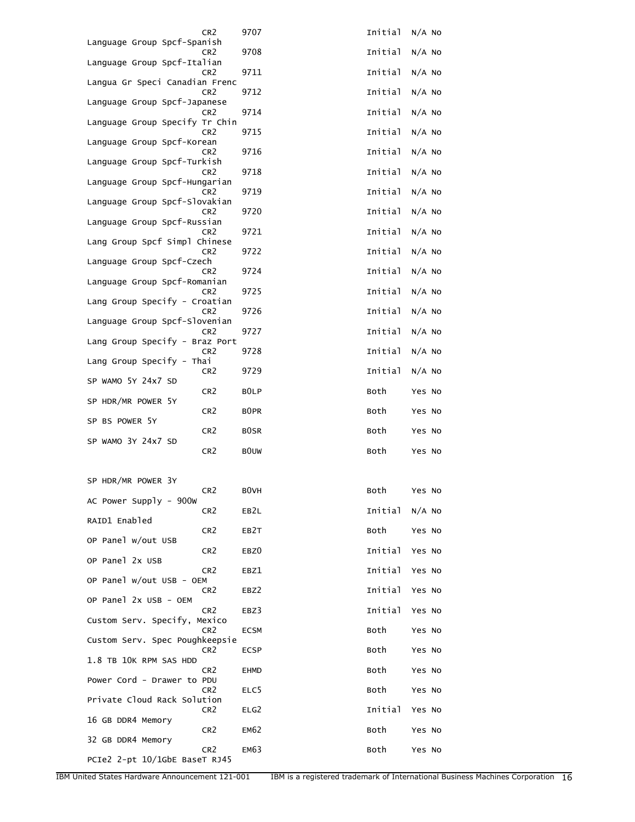| CR <sub>2</sub>                                   | 9707              | Initial | $N/A$ No |
|---------------------------------------------------|-------------------|---------|----------|
| Language Group Spcf-Spanish<br>CR <sub>2</sub>    | 9708              | Initial | $N/A$ No |
| Language Group Spcf-Italian<br>CR <sub>2</sub>    | 9711              | Initial | $N/A$ No |
| Langua Gr Speci Canadian Frenc<br>CR <sub>2</sub> | 9712              | Initial | $N/A$ No |
| Language Group Spcf-Japanese<br>CR <sub>2</sub>   | 9714              | Initial | $N/A$ No |
| Language Group Specify Tr Chin<br>CR <sub>2</sub> | 9715              | Initial | $N/A$ No |
| Language Group Spcf-Korean<br>CR <sub>2</sub>     | 9716              | Initial | $N/A$ No |
| Language Group Spcf-Turkish<br>CR <sub>2</sub>    | 9718              | Initial | $N/A$ No |
| Language Group Spcf-Hungarian<br>CR <sub>2</sub>  | 9719              | Initial | $N/A$ No |
| Language Group Spcf-Slovakian<br>CR <sub>2</sub>  |                   | Initial |          |
| Language Group Spcf-Russian                       | 9720              |         | $N/A$ No |
| CR <sub>2</sub><br>Lang Group Spcf Simpl Chinese  | 9721              | Initial | $N/A$ No |
| CR <sub>2</sub><br>Language Group Spcf-Czech      | 9722              | Initial | $N/A$ No |
| CR <sub>2</sub><br>Language Group Spcf-Romanian   | 9724              | Initial | $N/A$ No |
| CR <sub>2</sub><br>Lang Group Specify - Croatian  | 9725              | Initial | $N/A$ No |
| CR <sub>2</sub><br>Language Group Spcf-Slovenian  | 9726              | Initial | $N/A$ No |
| CR <sub>2</sub><br>Lang Group Specify - Braz Port | 9727              | Initial | $N/A$ No |
| CR <sub>2</sub><br>Lang Group Specify - Thai      | 9728              | Initial | $N/A$ No |
| CR <sub>2</sub><br>SP WAMO 5Y 24x7 SD             | 9729              | Initial | $N/A$ No |
| CR <sub>2</sub><br>SP HDR/MR POWER 5Y             | B <sub>0</sub> LP | Both    | Yes No   |
| CR <sub>2</sub><br>SP BS POWER 5Y                 | B <sub>0</sub> PR | Both    | Yes No   |
| CR <sub>2</sub><br>SP WAMO 3Y 24x7 SD             | <b>BOSR</b>       | Both    | Yes No   |
| CR <sub>2</sub>                                   | <b>BOUW</b>       | Both    | Yes No   |
|                                                   |                   |         |          |
| SP HDR/MR POWER 3Y<br>CR <sub>2</sub>             | <b>BOVH</b>       | Both    | Yes No   |
| AC Power Supply - 900w<br>CR <sub>2</sub>         | EB2L              | Initial | $N/A$ No |
| RAID1 Enabled<br>CR <sub>2</sub>                  | EB2T              | Both    | Yes No   |
| OP Panel w/out USB<br>CR <sub>2</sub>             | EBZ0              | Initial | Yes No   |
| OP Panel 2x USB<br>CR <sub>2</sub>                | EBZ1              | Initial | Yes No   |
| OP Panel w/out USB - OEM<br>CR <sub>2</sub>       | EBZ2              | Initial | Yes No   |
| OP Panel 2x USB - OEM<br>CR <sub>2</sub>          | EBZ3              | Initial | Yes No   |
| Custom Serv. Specify, Mexico<br>CR <sub>2</sub>   | <b>ECSM</b>       | Both    | Yes No   |
| Custom Serv. Spec Poughkeepsie<br>CR <sub>2</sub> | ECSP              | Both    | Yes No   |
| 1.8 TB 10K RPM SAS HDD<br>CR <sub>2</sub>         | EHMD              | Both    | Yes No   |
| Power Cord - Drawer to PDU<br>CR <sub>2</sub>     |                   |         |          |
| Private Cloud Rack Solution                       | ELC5              | Both    | Yes No   |
| CR <sub>2</sub><br>16 GB DDR4 Memory              | ELG2              | Initial | Yes No   |
| CR <sub>2</sub><br>32 GB DDR4 Memory              | <b>EM62</b>       | Both    | Yes No   |
| CR <sub>2</sub><br>PCIe2 2-pt 10/1GbE BaseT RJ45  | <b>EM63</b>       | Both    | Yes No   |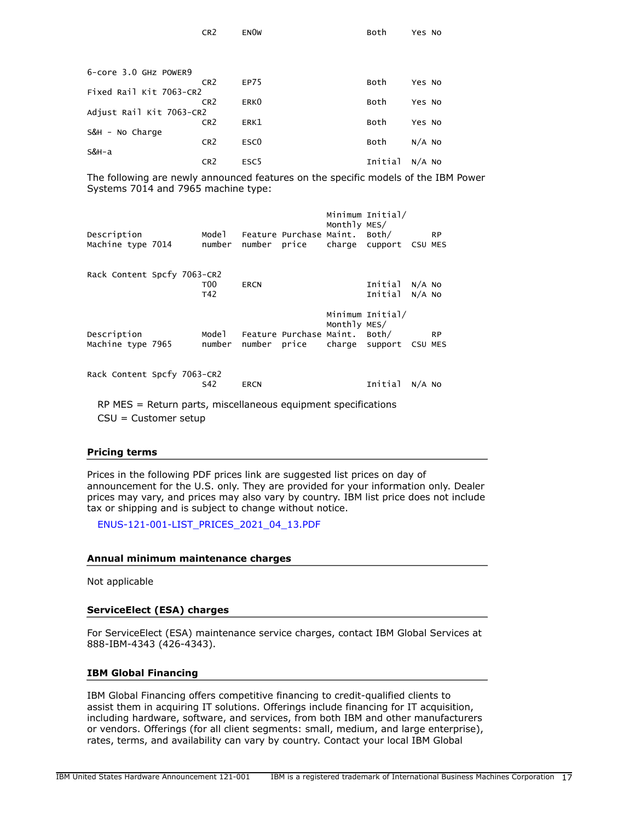| 6-core 3.0 GHz POWER9    |                 |                  |  |         |          |  |  |  |
|--------------------------|-----------------|------------------|--|---------|----------|--|--|--|
|                          | CR <sub>2</sub> | EP75             |  | Both    | Yes No   |  |  |  |
| Fixed Rail Kit 7063-CR2  |                 |                  |  |         |          |  |  |  |
|                          | CR <sub>2</sub> | ERK <sub>0</sub> |  | Both    | Yes No   |  |  |  |
| Adjust Rail Kit 7063-CR2 |                 |                  |  |         |          |  |  |  |
|                          | CR <sub>2</sub> | ERK1             |  | Both    | Yes No   |  |  |  |
| S&H - No Charge          |                 |                  |  |         |          |  |  |  |
|                          | CR <sub>2</sub> | ESC <sub>0</sub> |  | Both    | $N/A$ NO |  |  |  |
| S&H-a                    |                 |                  |  |         |          |  |  |  |
|                          | CR <sub>2</sub> | ESC <sub>5</sub> |  | Initial | $N/A$ No |  |  |  |

CR2 EN0W Both Yes No

The following are newly announced features on the specific models of the IBM Power Systems 7014 and 7965 machine type:

| Description<br>Machine type 7014                                                          |  | Model<br>number        |             | Feature Purchase Maint. Both/<br>number price | Monthly MES/ | Minimum Initial/<br>charge cupport CSU MES |          | <b>RP</b> |  |
|-------------------------------------------------------------------------------------------|--|------------------------|-------------|-----------------------------------------------|--------------|--------------------------------------------|----------|-----------|--|
| Rack Content Spcfy 7063-CR2                                                               |  | T <sub>00</sub><br>T42 | <b>ERCN</b> |                                               |              | Initial<br>Initial N/A No                  | N/A NO   |           |  |
| Description<br>Machine type 7965                                                          |  | Mode 1<br>number       |             | Feature Purchase Maint. Both/<br>number price | Monthly MES/ | Minimum Initial/<br>charge support CSU MES |          | <b>RP</b> |  |
| Rack Content Spcfy 7063-CR2                                                               |  | S42                    | <b>ERCN</b> |                                               |              | Initial                                    | $N/A$ NO |           |  |
| $RP$ MES = Return parts, miscellaneous equipment specifications<br>$CSU =$ Customer setup |  |                        |             |                                               |              |                                            |          |           |  |

#### **Pricing terms**

Prices in the following PDF prices link are suggested list prices on day of announcement for the U.S. only. They are provided for your information only. Dealer prices may vary, and prices may also vary by country. IBM list price does not include tax or shipping and is subject to change without notice.

[ENUS-121-001-LIST\\_PRICES\\_2021\\_04\\_13.PDF](#page-0-1)

#### **Annual minimum maintenance charges**

Not applicable

## **ServiceElect (ESA) charges**

For ServiceElect (ESA) maintenance service charges, contact IBM Global Services at 888-IBM-4343 (426-4343).

#### **IBM Global Financing**

IBM Global Financing offers competitive financing to credit-qualified clients to assist them in acquiring IT solutions. Offerings include financing for IT acquisition, including hardware, software, and services, from both IBM and other manufacturers or vendors. Offerings (for all client segments: small, medium, and large enterprise), rates, terms, and availability can vary by country. Contact your local IBM Global